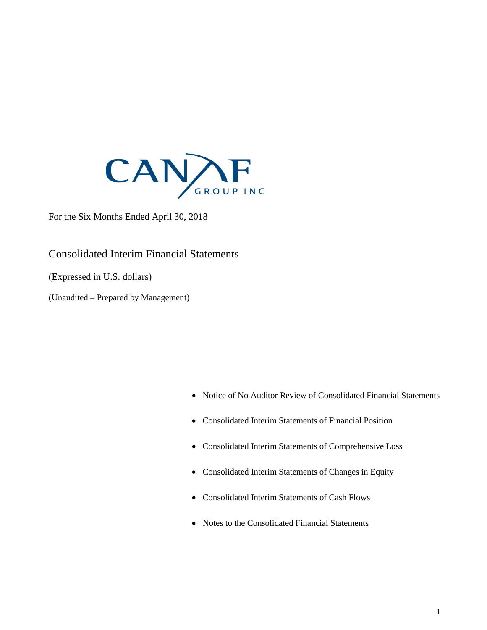

For the Six Months Ended April 30, 2018

Consolidated Interim Financial Statements

(Expressed in U.S. dollars)

(Unaudited – Prepared by Management)

- Notice of No Auditor Review of Consolidated Financial Statements
- Consolidated Interim Statements of Financial Position
- Consolidated Interim Statements of Comprehensive Loss
- Consolidated Interim Statements of Changes in Equity
- Consolidated Interim Statements of Cash Flows
- Notes to the Consolidated Financial Statements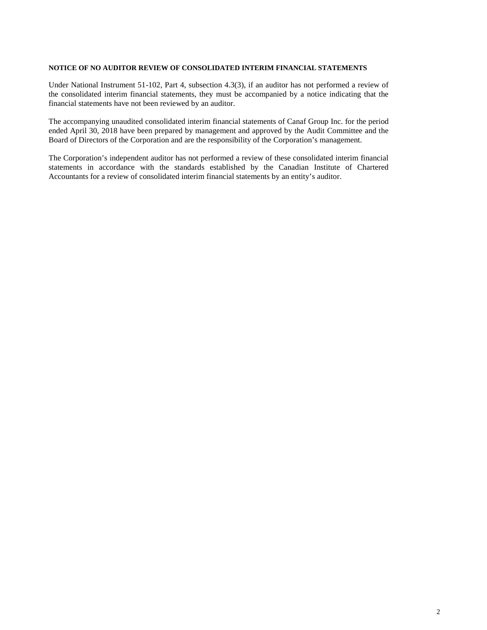#### **NOTICE OF NO AUDITOR REVIEW OF CONSOLIDATED INTERIM FINANCIAL STATEMENTS**

Under National Instrument 51-102, Part 4, subsection 4.3(3), if an auditor has not performed a review of the consolidated interim financial statements, they must be accompanied by a notice indicating that the financial statements have not been reviewed by an auditor.

The accompanying unaudited consolidated interim financial statements of Canaf Group Inc. for the period ended April 30, 2018 have been prepared by management and approved by the Audit Committee and the Board of Directors of the Corporation and are the responsibility of the Corporation's management.

The Corporation's independent auditor has not performed a review of these consolidated interim financial statements in accordance with the standards established by the Canadian Institute of Chartered Accountants for a review of consolidated interim financial statements by an entity's auditor.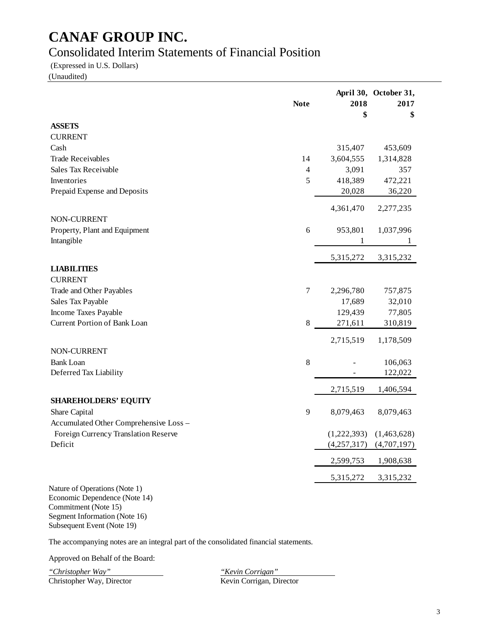### Consolidated Interim Statements of Financial Position

(Expressed in U.S. Dollars)

(Unaudited)

|                                                                | <b>Note</b> | 2018        | April 30, October 31,<br>2017 |
|----------------------------------------------------------------|-------------|-------------|-------------------------------|
|                                                                |             | \$          | \$                            |
| <b>ASSETS</b>                                                  |             |             |                               |
| <b>CURRENT</b>                                                 |             |             |                               |
| Cash                                                           |             | 315,407     | 453,609                       |
| <b>Trade Receivables</b>                                       | 14          | 3,604,555   | 1,314,828                     |
| Sales Tax Receivable                                           | 4           | 3,091       | 357                           |
| Inventories                                                    | 5           | 418,389     | 472,221                       |
| Prepaid Expense and Deposits                                   |             | 20,028      | 36,220                        |
|                                                                |             | 4,361,470   | 2,277,235                     |
| NON-CURRENT                                                    |             |             |                               |
| Property, Plant and Equipment                                  | 6           | 953,801     | 1,037,996                     |
| Intangible                                                     |             | 1           |                               |
|                                                                |             | 5,315,272   | 3,315,232                     |
| <b>LIABILITIES</b>                                             |             |             |                               |
| <b>CURRENT</b>                                                 |             |             |                               |
| Trade and Other Payables                                       | $\tau$      | 2,296,780   | 757,875                       |
| Sales Tax Payable                                              |             | 17,689      | 32,010                        |
| Income Taxes Payable                                           |             | 129,439     | 77,805                        |
| <b>Current Portion of Bank Loan</b>                            | 8           | 271,611     | 310,819                       |
|                                                                |             | 2,715,519   | 1,178,509                     |
| NON-CURRENT                                                    |             |             |                               |
| <b>Bank Loan</b>                                               | $8\,$       |             | 106,063                       |
| Deferred Tax Liability                                         |             |             | 122,022                       |
|                                                                |             | 2,715,519   | 1,406,594                     |
| <b>SHAREHOLDERS' EQUITY</b>                                    |             |             |                               |
| Share Capital                                                  | 9           | 8,079,463   | 8,079,463                     |
| Accumulated Other Comprehensive Loss -                         |             |             |                               |
| Foreign Currency Translation Reserve                           |             | (1,222,393) | (1,463,628)                   |
| Deficit                                                        |             | (4,257,317) | (4,707,197)                   |
|                                                                |             | 2,599,753   | 1,908,638                     |
|                                                                |             | 5,315,272   | 3,315,232                     |
| Nature of Operations (Note 1)<br>Economic Dependence (Note 14) |             |             |                               |

Commitment (Note 15) Segment Information (Note 16) Subsequent Event (Note 19)

The accompanying notes are an integral part of the consolidated financial statements.

Approved on Behalf of the Board:

*"Christopher Way" "Kevin Corrigan"* Christopher Way, Director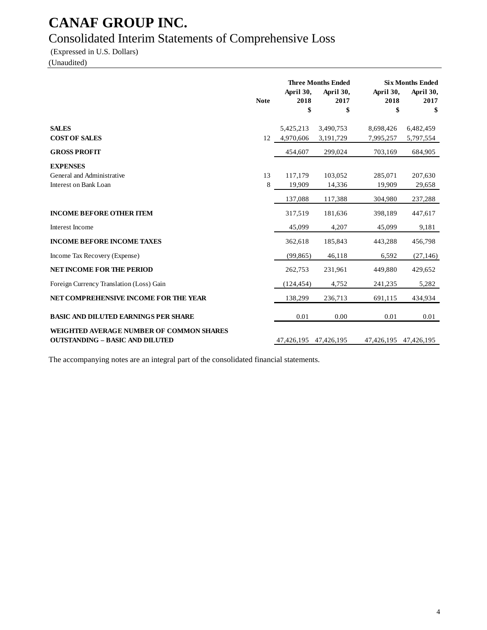### Consolidated Interim Statements of Comprehensive Loss

(Expressed in U.S. Dollars)

(Unaudited)

|                                                                                           |             | <b>Three Months Ended</b> |                         |                         | <b>Six Months Ended</b> |
|-------------------------------------------------------------------------------------------|-------------|---------------------------|-------------------------|-------------------------|-------------------------|
|                                                                                           | <b>Note</b> | April 30,<br>2018<br>\$   | April 30,<br>2017<br>\$ | April 30,<br>2018<br>\$ | April 30,<br>2017<br>\$ |
| <b>SALES</b>                                                                              |             |                           |                         |                         |                         |
| <b>COST OF SALES</b>                                                                      |             | 5,425,213<br>12 4,970,606 | 3,490,753<br>3,191,729  | 8,698,426<br>7,995,257  | 6,482,459<br>5,797,554  |
| <b>GROSS PROFIT</b>                                                                       |             | 454,607                   | 299,024                 | 703,169                 | 684,905                 |
| <b>EXPENSES</b>                                                                           |             |                           |                         |                         |                         |
| General and Administrative                                                                | 13          | 117,179                   | 103,052                 | 285,071                 | 207,630                 |
| Interest on Bank Loan                                                                     | 8           | 19,909                    | 14,336                  | 19,909                  | 29,658                  |
|                                                                                           |             | 137,088                   | 117,388                 | 304,980                 | 237,288                 |
| <b>INCOME BEFORE OTHER ITEM</b>                                                           |             | 317,519                   | 181,636                 | 398,189                 | 447,617                 |
| Interest Income                                                                           |             | 45,099                    | 4,207                   | 45,099                  | 9,181                   |
| <b>INCOME BEFORE INCOME TAXES</b>                                                         |             | 362,618                   | 185,843                 | 443,288                 | 456,798                 |
| Income Tax Recovery (Expense)                                                             |             | (99, 865)                 | 46,118                  | 6,592                   | (27, 146)               |
| <b>NET INCOME FOR THE PERIOD</b>                                                          |             | 262,753                   | 231,961                 | 449,880                 | 429,652                 |
| Foreign Currency Translation (Loss) Gain                                                  |             | (124, 454)                | 4,752                   | 241,235                 | 5,282                   |
| NET COMPREHENSIVE INCOME FOR THE YEAR                                                     |             | 138,299                   | 236,713                 | 691,115                 | 434,934                 |
| <b>BASIC AND DILUTED EARNINGS PER SHARE</b>                                               |             | 0.01                      | 0.00                    | 0.01                    | 0.01                    |
| <b>WEIGHTED AVERAGE NUMBER OF COMMON SHARES</b><br><b>OUTSTANDING - BASIC AND DILUTED</b> |             | 47,426,195                | 47,426,195              | 47,426,195              | 47,426,195              |

The accompanying notes are an integral part of the consolidated financial statements.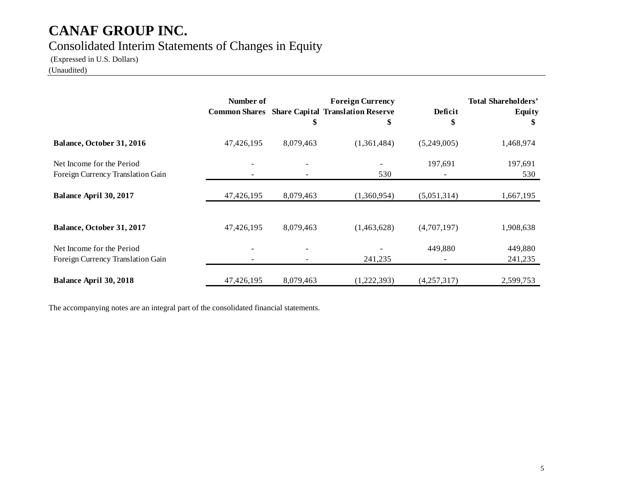### Consolidated Interim Statements of Changes in Equity

(Expressed in U.S. Dollars)

(Unaudited)

|                                                                | Number of  | \$        | <b>Foreign Currency</b><br><b>Common Shares</b> Share Capital Translation Reserve<br>\$ | Deficit<br>\$ | <b>Total Shareholders'</b><br><b>Equity</b><br>\$ |
|----------------------------------------------------------------|------------|-----------|-----------------------------------------------------------------------------------------|---------------|---------------------------------------------------|
| Balance, October 31, 2016                                      | 47,426,195 | 8,079,463 | (1,361,484)                                                                             | (5,249,005)   | 1,468,974                                         |
| Net Income for the Period<br>Foreign Currency Translation Gain |            |           | 530                                                                                     | 197,691       | 197,691<br>530                                    |
| Balance April 30, 2017                                         | 47,426,195 | 8,079,463 | (1,360,954)                                                                             | (5,051,314)   | 1,667,195                                         |
| Balance, October 31, 2017                                      | 47,426,195 | 8,079,463 | (1,463,628)                                                                             | (4,707,197)   | 1,908,638                                         |
| Net Income for the Period<br>Foreign Currency Translation Gain |            |           | 241,235                                                                                 | 449,880       | 449,880<br>241,235                                |
| <b>Balance April 30, 2018</b>                                  | 47,426,195 | 8,079,463 | (1,222,393)                                                                             | (4,257,317)   | 2,599,753                                         |

The accompanying notes are an integral part of the consolidated financial statements.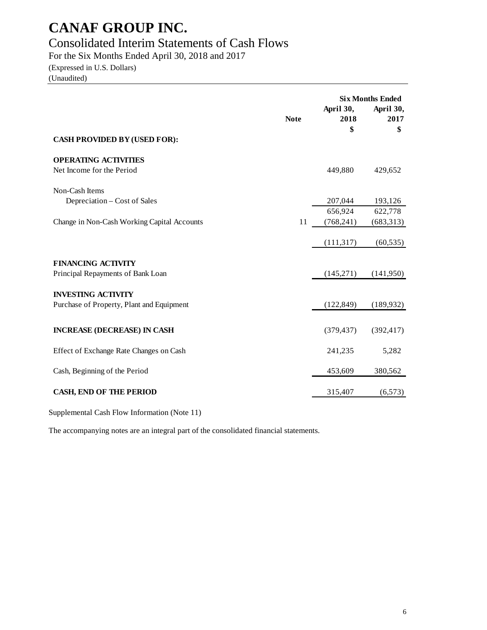### Consolidated Interim Statements of Cash Flows

For the Six Months Ended April 30, 2018 and 2017

(Expressed in U.S. Dollars) (Unaudited)

|                                                                        | <b>Note</b> | April 30,<br>2018<br>\$ | <b>Six Months Ended</b><br>April 30,<br>2017<br>\$ |
|------------------------------------------------------------------------|-------------|-------------------------|----------------------------------------------------|
| <b>CASH PROVIDED BY (USED FOR):</b>                                    |             |                         |                                                    |
| <b>OPERATING ACTIVITIES</b><br>Net Income for the Period               |             | 449,880                 | 429,652                                            |
| Non-Cash Items<br>Depreciation – Cost of Sales                         |             | 207,044                 | 193,126                                            |
| Change in Non-Cash Working Capital Accounts                            | 11          | 656,924<br>(768, 241)   | 622,778<br>(683,313)                               |
|                                                                        |             | (111, 317)              | (60, 535)                                          |
| <b>FINANCING ACTIVITY</b><br>Principal Repayments of Bank Loan         |             | (145,271)               | (141,950)                                          |
| <b>INVESTING ACTIVITY</b><br>Purchase of Property, Plant and Equipment |             | (122, 849)              | (189, 932)                                         |
|                                                                        |             |                         |                                                    |
| <b>INCREASE (DECREASE) IN CASH</b>                                     |             | (379, 437)              | (392, 417)                                         |
| Effect of Exchange Rate Changes on Cash                                |             | 241,235                 | 5,282                                              |
| Cash, Beginning of the Period                                          |             | 453,609                 | 380,562                                            |
| <b>CASH, END OF THE PERIOD</b>                                         |             | 315,407                 | (6,573)                                            |

Supplemental Cash Flow Information (Note 11)

The accompanying notes are an integral part of the consolidated financial statements.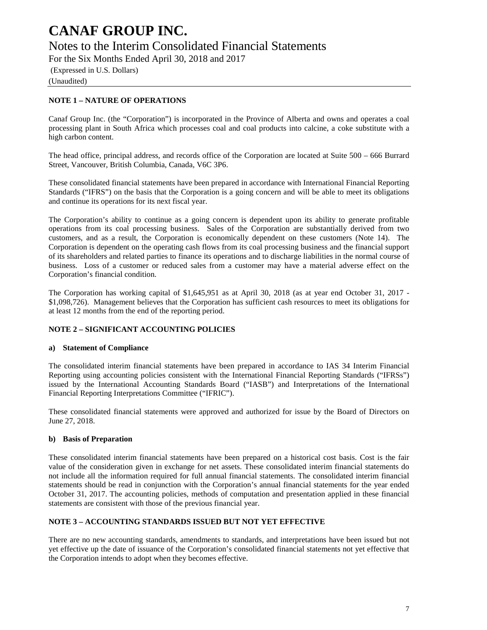### Notes to the Interim Consolidated Financial Statements

For the Six Months Ended April 30, 2018 and 2017

(Expressed in U.S. Dollars)

(Unaudited)

#### **NOTE 1 – NATURE OF OPERATIONS**

Canaf Group Inc. (the "Corporation") is incorporated in the Province of Alberta and owns and operates a coal processing plant in South Africa which processes coal and coal products into calcine, a coke substitute with a high carbon content.

The head office, principal address, and records office of the Corporation are located at Suite 500 – 666 Burrard Street, Vancouver, British Columbia, Canada, V6C 3P6.

These consolidated financial statements have been prepared in accordance with International Financial Reporting Standards ("IFRS") on the basis that the Corporation is a going concern and will be able to meet its obligations and continue its operations for its next fiscal year.

The Corporation's ability to continue as a going concern is dependent upon its ability to generate profitable operations from its coal processing business. Sales of the Corporation are substantially derived from two customers, and as a result, the Corporation is economically dependent on these customers (Note 14). The Corporation is dependent on the operating cash flows from its coal processing business and the financial support of its shareholders and related parties to finance its operations and to discharge liabilities in the normal course of business. Loss of a customer or reduced sales from a customer may have a material adverse effect on the Corporation's financial condition.

The Corporation has working capital of \$1,645,951 as at April 30, 2018 (as at year end October 31, 2017 - \$1,098,726). Management believes that the Corporation has sufficient cash resources to meet its obligations for at least 12 months from the end of the reporting period.

#### **NOTE 2 – SIGNIFICANT ACCOUNTING POLICIES**

#### **a) Statement of Compliance**

The consolidated interim financial statements have been prepared in accordance to IAS 34 Interim Financial Reporting using accounting policies consistent with the International Financial Reporting Standards ("IFRSs") issued by the International Accounting Standards Board ("IASB") and Interpretations of the International Financial Reporting Interpretations Committee ("IFRIC").

These consolidated financial statements were approved and authorized for issue by the Board of Directors on June 27, 2018.

#### **b) Basis of Preparation**

These consolidated interim financial statements have been prepared on a historical cost basis. Cost is the fair value of the consideration given in exchange for net assets. These consolidated interim financial statements do not include all the information required for full annual financial statements. The consolidated interim financial statements should be read in conjunction with the Corporation's annual financial statements for the year ended October 31, 2017. The accounting policies, methods of computation and presentation applied in these financial statements are consistent with those of the previous financial year.

#### **NOTE 3 – ACCOUNTING STANDARDS ISSUED BUT NOT YET EFFECTIVE**

There are no new accounting standards, amendments to standards, and interpretations have been issued but not yet effective up the date of issuance of the Corporation's consolidated financial statements not yet effective that the Corporation intends to adopt when they becomes effective.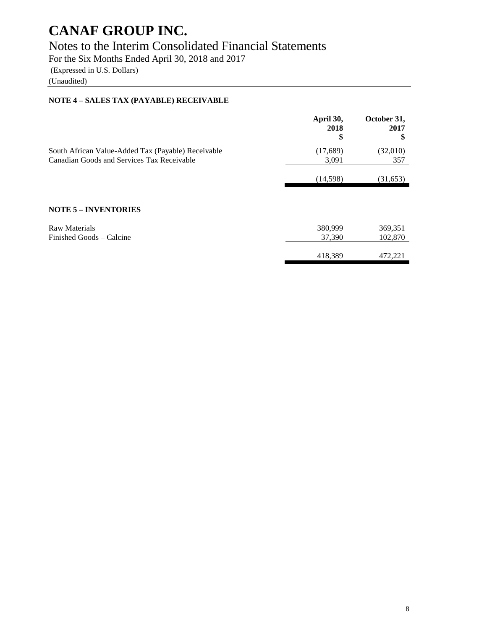### Notes to the Interim Consolidated Financial Statements

For the Six Months Ended April 30, 2018 and 2017

(Expressed in U.S. Dollars)

(Unaudited)

#### **NOTE 4 – SALES TAX (PAYABLE) RECEIVABLE**

|                                                    | April 30,<br>2018<br>\$ | October 31,<br>2017<br>S |
|----------------------------------------------------|-------------------------|--------------------------|
| South African Value-Added Tax (Payable) Receivable | (17,689)                | (32,010)                 |
| Canadian Goods and Services Tax Receivable         | 3,091                   | 357                      |
|                                                    | (14,598)                | (31,653)                 |
|                                                    |                         |                          |
| <b>NOTE 5 - INVENTORIES</b>                        |                         |                          |
| <b>Raw Materials</b>                               | 380,999                 | 369,351                  |
| Finished Goods – Calcine                           | 37,390                  | 102,870                  |
|                                                    | 418,389                 | 472.221                  |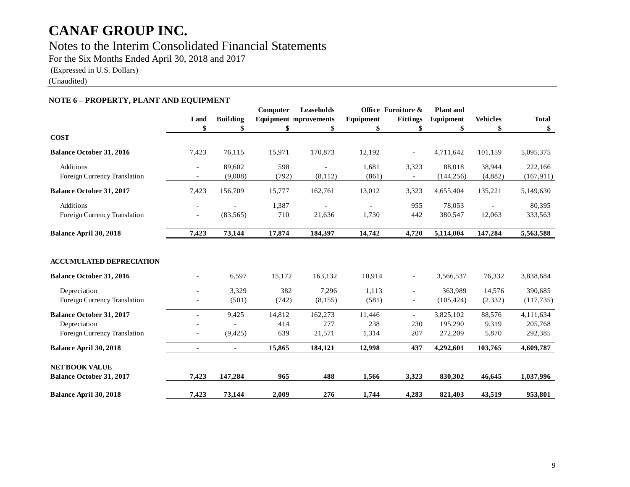### Notes to the Interim Consolidated Financial Statements

For the Six Months Ended April 30, 2018 and 2017

(Expressed in U.S. Dollars)

(Unaudited)

#### **NOTE 6 – PROPERTY, PLANT AND EQUIPMENT**

|                                                                                 |                          |                   | Computer             | Leaseholds                   |                        | Office Furniture &                         | <b>Plant</b> and                |                          |                                 |
|---------------------------------------------------------------------------------|--------------------------|-------------------|----------------------|------------------------------|------------------------|--------------------------------------------|---------------------------------|--------------------------|---------------------------------|
|                                                                                 | Land                     | <b>Building</b>   |                      | <b>Equipment mprovements</b> | Equipment              | Fittings                                   | Equipment                       | <b>Vehicles</b>          | <b>Total</b>                    |
|                                                                                 | \$                       | \$                | \$                   | \$                           | \$                     | \$                                         | \$                              | \$                       | \$                              |
| <b>COST</b>                                                                     |                          |                   |                      |                              |                        |                                            |                                 |                          |                                 |
| <b>Balance October 31, 2016</b>                                                 | 7,423                    | 76,115            | 15,971               | 170,873                      | 12,192                 |                                            | 4,711,642                       | 101,159                  | 5,095,375                       |
| Additions<br>Foreign Currency Translation                                       | $\overline{\phantom{a}}$ | 89.602<br>(9,008) | 598<br>(792)         | (8,112)                      | 1.681<br>(861)         | 3,323                                      | 88.018<br>(144, 256)            | 38,944<br>(4,882)        | 222,166<br>(167, 911)           |
| <b>Balance October 31, 2017</b>                                                 | 7,423                    | 156,709           | 15,777               | 162,761                      | 13,012                 | 3,323                                      | 4,655,404                       | 135,221                  | 5,149,630                       |
| Additions<br>Foreign Currency Translation                                       | $\blacksquare$           | (83, 565)         | 1,387<br>710         | 21,636                       | 1,730                  | 955<br>442                                 | 78,053<br>380,547               | 12,063                   | 80,395<br>333,563               |
| Balance April 30, 2018                                                          | 7,423                    | 73,144            | 17,874               | 184,397                      | 14,742                 | 4,720                                      | 5,114,004                       | 147,284                  | 5,563,588                       |
| <b>ACCUMULATED DEPRECIATION</b>                                                 |                          |                   |                      |                              |                        |                                            |                                 |                          |                                 |
| <b>Balance October 31, 2016</b>                                                 |                          | 6,597             | 15,172               | 163,132                      | 10,914                 | $\overline{\phantom{a}}$                   | 3,566,537                       | 76,332                   | 3,838,684                       |
| Depreciation<br>Foreign Currency Translation                                    |                          | 3,329<br>(501)    | 382<br>(742)         | 7,296<br>(8,155)             | 1,113<br>(581)         | $\overline{\phantom{a}}$<br>$\blacksquare$ | 363,989<br>(105, 424)           | 14,576<br>(2, 332)       | 390,685<br>(117, 735)           |
| <b>Balance October 31, 2017</b><br>Depreciation<br>Foreign Currency Translation |                          | 9,425<br>(9,425)  | 14,812<br>414<br>639 | 162,273<br>277<br>21,571     | 11,446<br>238<br>1,314 | $\sim$<br>230<br>207                       | 3,825,102<br>195,290<br>272,209 | 88,576<br>9,319<br>5,870 | 4,111,634<br>205,768<br>292,385 |
| Balance April 30, 2018                                                          |                          | $\blacksquare$    | 15,865               | 184,121                      | 12,998                 | 437                                        | 4,292,601                       | 103,765                  | 4,609,787                       |
| <b>NET BOOK VALUE</b><br><b>Balance October 31, 2017</b>                        | 7,423                    | 147,284           | 965                  | 488                          | 1,566                  | 3,323                                      | 830,302                         | 46,645                   | 1,037,996                       |
| Balance April 30, 2018                                                          | 7,423                    | 73,144            | 2,009                | 276                          | 1,744                  | 4,283                                      | 821,403                         | 43,519                   | 953,801                         |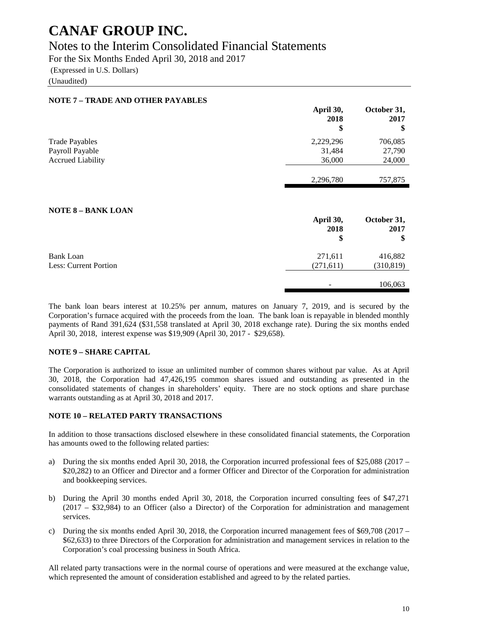### Notes to the Interim Consolidated Financial Statements

For the Six Months Ended April 30, 2018 and 2017

(Expressed in U.S. Dollars)

(Unaudited)

| <b>NOTE 7 - TRADE AND OTHER PAYABLES</b>         |                         |                           |
|--------------------------------------------------|-------------------------|---------------------------|
|                                                  | April 30,<br>2018<br>\$ | October 31,<br>2017<br>\$ |
| <b>Trade Payables</b>                            | 2,229,296               | 706,085                   |
| Payroll Payable                                  | 31,484                  | 27,790                    |
| <b>Accrued Liability</b>                         | 36,000                  | 24,000                    |
|                                                  | 2,296,780               | 757,875                   |
| <b>NOTE 8 - BANK LOAN</b>                        | April 30,<br>2018<br>\$ | October 31,<br>2017<br>\$ |
| <b>Bank Loan</b><br><b>Less: Current Portion</b> | 271,611<br>(271,611)    | 416,882<br>(310,819)      |
|                                                  |                         | 106,063                   |

The bank loan bears interest at 10.25% per annum, matures on January 7, 2019, and is secured by the Corporation's furnace acquired with the proceeds from the loan. The bank loan is repayable in blended monthly payments of Rand 391,624 (\$31,558 translated at April 30, 2018 exchange rate). During the six months ended April 30, 2018, interest expense was \$19,909 (April 30, 2017 - \$29,658).

#### **NOTE 9 – SHARE CAPITAL**

The Corporation is authorized to issue an unlimited number of common shares without par value. As at April 30, 2018, the Corporation had 47,426,195 common shares issued and outstanding as presented in the consolidated statements of changes in shareholders' equity. There are no stock options and share purchase warrants outstanding as at April 30, 2018 and 2017.

#### **NOTE 10 – RELATED PARTY TRANSACTIONS**

In addition to those transactions disclosed elsewhere in these consolidated financial statements, the Corporation has amounts owed to the following related parties:

- a) During the six months ended April 30, 2018, the Corporation incurred professional fees of \$25,088 (2017 \$20,282) to an Officer and Director and a former Officer and Director of the Corporation for administration and bookkeeping services.
- b) During the April 30 months ended April 30, 2018, the Corporation incurred consulting fees of \$47,271 (2017 – \$32,984) to an Officer (also a Director) of the Corporation for administration and management services.
- c) During the six months ended April 30, 2018, the Corporation incurred management fees of \$69,708 (2017 \$62,633) to three Directors of the Corporation for administration and management services in relation to the Corporation's coal processing business in South Africa.

All related party transactions were in the normal course of operations and were measured at the exchange value, which represented the amount of consideration established and agreed to by the related parties.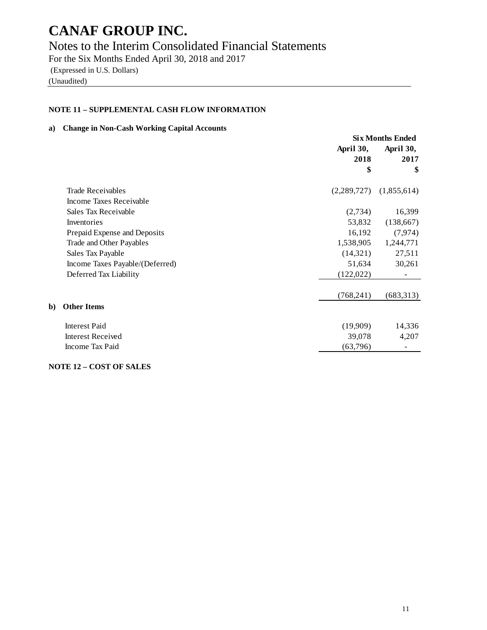### Notes to the Interim Consolidated Financial Statements

For the Six Months Ended April 30, 2018 and 2017 (Expressed in U.S. Dollars) (Unaudited)

#### **NOTE 11 – SUPPLEMENTAL CASH FLOW INFORMATION**

#### **a) Change in Non-Cash Working Capital Accounts**

|    |                                 | <b>Six Months Ended</b> |             |
|----|---------------------------------|-------------------------|-------------|
|    |                                 | April 30,               | April 30,   |
|    |                                 | 2018                    | 2017        |
|    |                                 | \$                      | \$          |
|    | <b>Trade Receivables</b>        | (2,289,727)             | (1,855,614) |
|    | Income Taxes Receivable         |                         |             |
|    | Sales Tax Receivable            | (2,734)                 | 16,399      |
|    | Inventories                     | 53,832                  | (138,667)   |
|    | Prepaid Expense and Deposits    | 16,192                  | (7, 974)    |
|    | Trade and Other Payables        | 1,538,905               | 1,244,771   |
|    | Sales Tax Payable               | (14,321)                | 27,511      |
|    | Income Taxes Payable/(Deferred) | 51,634                  | 30,261      |
|    | Deferred Tax Liability          | (122, 022)              |             |
|    |                                 | (768, 241)              | (683,313)   |
| b) | <b>Other Items</b>              |                         |             |
|    | <b>Interest Paid</b>            | (19,909)                | 14,336      |
|    | <b>Interest Received</b>        | 39,078                  | 4,207       |
|    | Income Tax Paid                 | (63,796)                |             |

#### **NOTE 12 – COST OF SALES**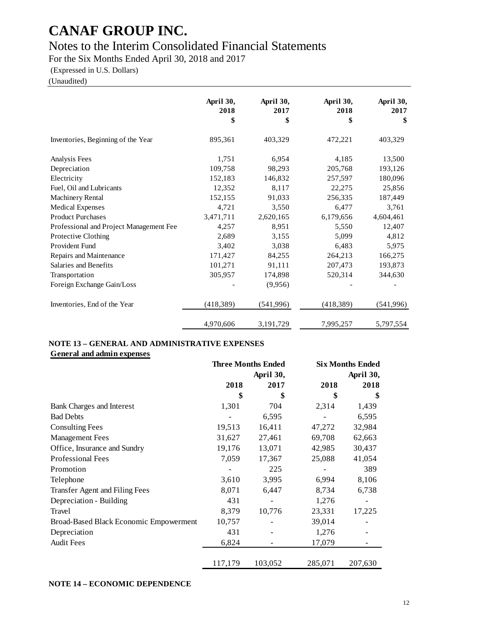### Notes to the Interim Consolidated Financial Statements

For the Six Months Ended April 30, 2018 and 2017

(Expressed in U.S. Dollars)

(Unaudited)

|                                         | April 30,<br>2018<br>\$ | April 30,<br>2017<br>\$ | April 30,<br>2018<br>\$ | April 30,<br>2017<br>\$ |
|-----------------------------------------|-------------------------|-------------------------|-------------------------|-------------------------|
| Inventories, Beginning of the Year      | 895,361                 | 403,329                 | 472,221                 | 403,329                 |
| Analysis Fees                           | 1,751                   | 6,954                   | 4,185                   | 13,500                  |
| Depreciation                            | 109,758                 | 98,293                  | 205,768                 | 193,126                 |
| Electricity                             | 152,183                 | 146,832                 | 257,597                 | 180,096                 |
| Fuel, Oil and Lubricants                | 12,352                  | 8,117                   | 22,275                  | 25,856                  |
| <b>Machinery Rental</b>                 | 152,155                 | 91,033                  | 256,335                 | 187,449                 |
| <b>Medical Expenses</b>                 | 4,721                   | 3,550                   | 6,477                   | 3,761                   |
| <b>Product Purchases</b>                | 3,471,711               | 2,620,165               | 6,179,656               | 4,604,461               |
| Professional and Project Management Fee | 4,257                   | 8,951                   | 5,550                   | 12,407                  |
| Protective Clothing                     | 2,689                   | 3,155                   | 5,099                   | 4,812                   |
| Provident Fund                          | 3,402                   | 3,038                   | 6,483                   | 5,975                   |
| Repairs and Maintenance                 | 171,427                 | 84,255                  | 264,213                 | 166,275                 |
| Salaries and Benefits                   | 101,271                 | 91,111                  | 207,473                 | 193,873                 |
| Transportation                          | 305,957                 | 174,898                 | 520,314                 | 344,630                 |
| Foreign Exchange Gain/Loss              |                         | (9,956)                 |                         |                         |
| Inventories, End of the Year            | (418, 389)              | (541, 996)              | (418, 389)              | (541, 996)              |
|                                         | 4,970,606               | 3,191,729               | 7,995,257               | 5,797,554               |

#### **NOTE 13 – GENERAL AND ADMINISTRATIVE EXPENSES General and admin expenses**

|                                        | <b>Three Months Ended</b><br>April 30, |         |         | <b>Six Months Ended</b> |
|----------------------------------------|----------------------------------------|---------|---------|-------------------------|
|                                        |                                        |         |         | April 30,               |
|                                        | 2018                                   | 2017    | 2018    | 2018                    |
|                                        | \$                                     | \$      | \$      | \$                      |
| <b>Bank Charges and Interest</b>       | 1,301                                  | 704     | 2,314   | 1,439                   |
| <b>Bad Debts</b>                       |                                        | 6,595   |         | 6,595                   |
| <b>Consulting Fees</b>                 | 19,513                                 | 16,411  | 47,272  | 32,984                  |
| <b>Management Fees</b>                 | 31,627                                 | 27,461  | 69,708  | 62,663                  |
| Office, Insurance and Sundry           | 19,176                                 | 13,071  | 42,985  | 30,437                  |
| <b>Professional Fees</b>               | 7,059                                  | 17,367  | 25,088  | 41,054                  |
| Promotion                              |                                        | 225     |         | 389                     |
| Telephone                              | 3,610                                  | 3,995   | 6,994   | 8,106                   |
| Transfer Agent and Filing Fees         | 8,071                                  | 6,447   | 8,734   | 6,738                   |
| Depreciation - Building                | 431                                    |         | 1,276   |                         |
| Travel                                 | 8,379                                  | 10,776  | 23,331  | 17,225                  |
| Broad-Based Black Economic Empowerment | 10,757                                 |         | 39,014  |                         |
| Depreciation                           | 431                                    |         | 1,276   |                         |
| <b>Audit Fees</b>                      | 6,824                                  |         | 17,079  |                         |
|                                        | 117,179                                | 103,052 | 285,071 | 207,630                 |

#### **NOTE 14 – ECONOMIC DEPENDENCE**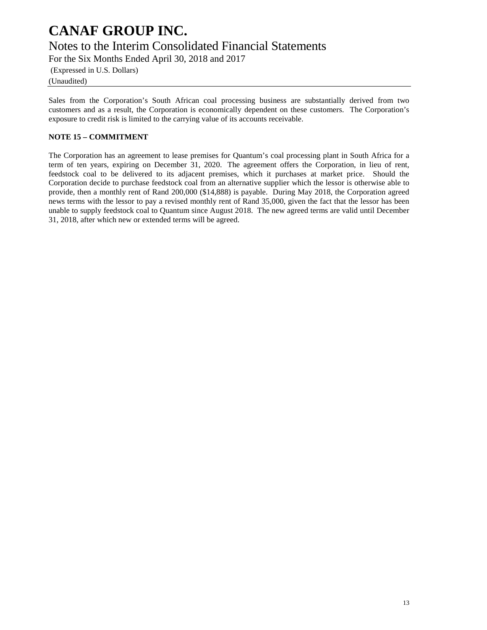Notes to the Interim Consolidated Financial Statements

For the Six Months Ended April 30, 2018 and 2017

(Expressed in U.S. Dollars)

(Unaudited)

Sales from the Corporation's South African coal processing business are substantially derived from two customers and as a result, the Corporation is economically dependent on these customers. The Corporation's exposure to credit risk is limited to the carrying value of its accounts receivable.

#### **NOTE 15 – COMMITMENT**

The Corporation has an agreement to lease premises for Quantum's coal processing plant in South Africa for a term of ten years, expiring on December 31, 2020. The agreement offers the Corporation, in lieu of rent, feedstock coal to be delivered to its adjacent premises, which it purchases at market price. Should the Corporation decide to purchase feedstock coal from an alternative supplier which the lessor is otherwise able to provide, then a monthly rent of Rand 200,000 (\$14,888) is payable. During May 2018, the Corporation agreed news terms with the lessor to pay a revised monthly rent of Rand 35,000, given the fact that the lessor has been unable to supply feedstock coal to Quantum since August 2018. The new agreed terms are valid until December 31, 2018, after which new or extended terms will be agreed.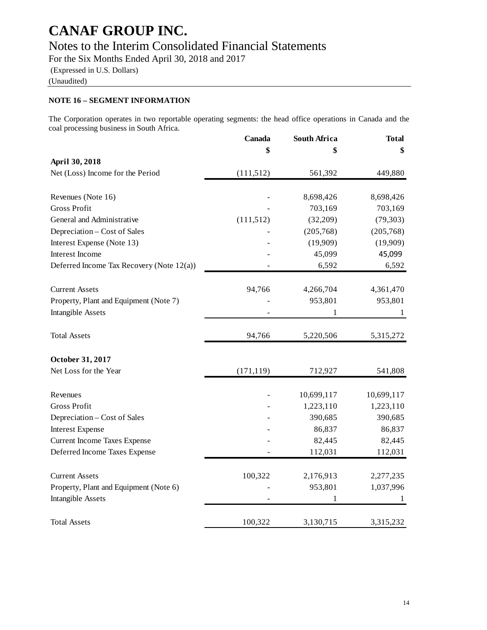### Notes to the Interim Consolidated Financial Statements

For the Six Months Ended April 30, 2018 and 2017 (Expressed in U.S. Dollars)

(Unaudited)

#### **NOTE 16 – SEGMENT INFORMATION**

The Corporation operates in two reportable operating segments: the head office operations in Canada and the coal processing business in South Africa.

|                                           | Canada     | <b>South Africa</b> | <b>Total</b> |
|-------------------------------------------|------------|---------------------|--------------|
|                                           | \$         |                     | \$           |
| April 30, 2018                            |            |                     |              |
| Net (Loss) Income for the Period          | (111, 512) | 561,392             | 449,880      |
| Revenues (Note 16)                        |            | 8,698,426           | 8,698,426    |
| <b>Gross Profit</b>                       |            | 703,169             | 703,169      |
| General and Administrative                | (111, 512) | (32,209)            | (79, 303)    |
| Depreciation – Cost of Sales              |            | (205,768)           | (205,768)    |
| Interest Expense (Note 13)                |            | (19,909)            | (19,909)     |
| Interest Income                           |            | 45,099              | 45,099       |
| Deferred Income Tax Recovery (Note 12(a)) |            | 6,592               | 6,592        |
| <b>Current Assets</b>                     | 94,766     | 4,266,704           | 4,361,470    |
| Property, Plant and Equipment (Note 7)    |            | 953,801             | 953,801      |
| <b>Intangible Assets</b>                  |            | 1                   | 1            |
|                                           |            |                     |              |
| <b>Total Assets</b>                       | 94,766     | 5,220,506           | 5,315,272    |
| October 31, 2017                          |            |                     |              |
| Net Loss for the Year                     | (171, 119) | 712,927             | 541,808      |
| Revenues                                  |            | 10,699,117          | 10,699,117   |
| <b>Gross Profit</b>                       |            | 1,223,110           | 1,223,110    |
| Depreciation – Cost of Sales              |            | 390,685             | 390,685      |
| <b>Interest Expense</b>                   |            | 86,837              | 86,837       |
| <b>Current Income Taxes Expense</b>       |            | 82,445              | 82,445       |
| Deferred Income Taxes Expense             |            | 112,031             | 112,031      |
| <b>Current Assets</b>                     | 100,322    | 2,176,913           | 2,277,235    |
| Property, Plant and Equipment (Note 6)    |            | 953,801             | 1,037,996    |
| <b>Intangible Assets</b>                  |            | 1                   | 1            |
| <b>Total Assets</b>                       | 100,322    | 3,130,715           | 3,315,232    |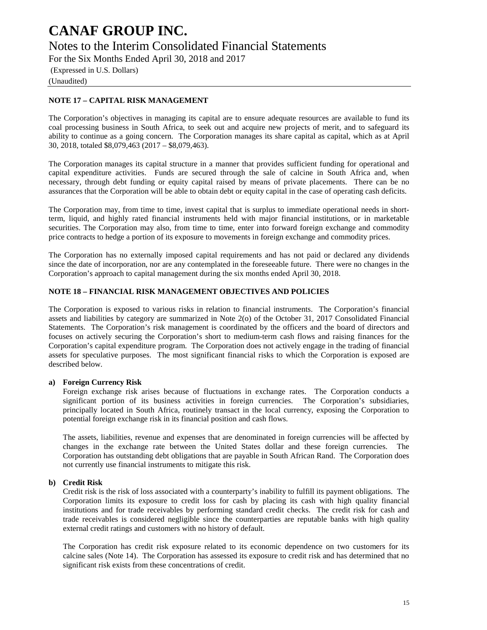Notes to the Interim Consolidated Financial Statements

For the Six Months Ended April 30, 2018 and 2017

(Expressed in U.S. Dollars)

(Unaudited)

#### **NOTE 17 – CAPITAL RISK MANAGEMENT**

The Corporation's objectives in managing its capital are to ensure adequate resources are available to fund its coal processing business in South Africa, to seek out and acquire new projects of merit, and to safeguard its ability to continue as a going concern. The Corporation manages its share capital as capital, which as at April 30, 2018, totaled \$8,079,463 (2017 – \$8,079,463).

The Corporation manages its capital structure in a manner that provides sufficient funding for operational and capital expenditure activities. Funds are secured through the sale of calcine in South Africa and, when necessary, through debt funding or equity capital raised by means of private placements. There can be no assurances that the Corporation will be able to obtain debt or equity capital in the case of operating cash deficits.

The Corporation may, from time to time, invest capital that is surplus to immediate operational needs in shortterm, liquid, and highly rated financial instruments held with major financial institutions, or in marketable securities. The Corporation may also, from time to time, enter into forward foreign exchange and commodity price contracts to hedge a portion of its exposure to movements in foreign exchange and commodity prices.

The Corporation has no externally imposed capital requirements and has not paid or declared any dividends since the date of incorporation, nor are any contemplated in the foreseeable future. There were no changes in the Corporation's approach to capital management during the six months ended April 30, 2018.

#### **NOTE 18 – FINANCIAL RISK MANAGEMENT OBJECTIVES AND POLICIES**

The Corporation is exposed to various risks in relation to financial instruments. The Corporation's financial assets and liabilities by category are summarized in Note 2(o) of the October 31, 2017 Consolidated Financial Statements. The Corporation's risk management is coordinated by the officers and the board of directors and focuses on actively securing the Corporation's short to medium-term cash flows and raising finances for the Corporation's capital expenditure program. The Corporation does not actively engage in the trading of financial assets for speculative purposes. The most significant financial risks to which the Corporation is exposed are described below.

#### **a) Foreign Currency Risk**

Foreign exchange risk arises because of fluctuations in exchange rates. The Corporation conducts a significant portion of its business activities in foreign currencies. The Corporation's subsidiaries, principally located in South Africa, routinely transact in the local currency, exposing the Corporation to potential foreign exchange risk in its financial position and cash flows.

The assets, liabilities, revenue and expenses that are denominated in foreign currencies will be affected by changes in the exchange rate between the United States dollar and these foreign currencies. The Corporation has outstanding debt obligations that are payable in South African Rand. The Corporation does not currently use financial instruments to mitigate this risk.

#### **b) Credit Risk**

Credit risk is the risk of loss associated with a counterparty's inability to fulfill its payment obligations. The Corporation limits its exposure to credit loss for cash by placing its cash with high quality financial institutions and for trade receivables by performing standard credit checks. The credit risk for cash and trade receivables is considered negligible since the counterparties are reputable banks with high quality external credit ratings and customers with no history of default.

The Corporation has credit risk exposure related to its economic dependence on two customers for its calcine sales (Note 14). The Corporation has assessed its exposure to credit risk and has determined that no significant risk exists from these concentrations of credit.